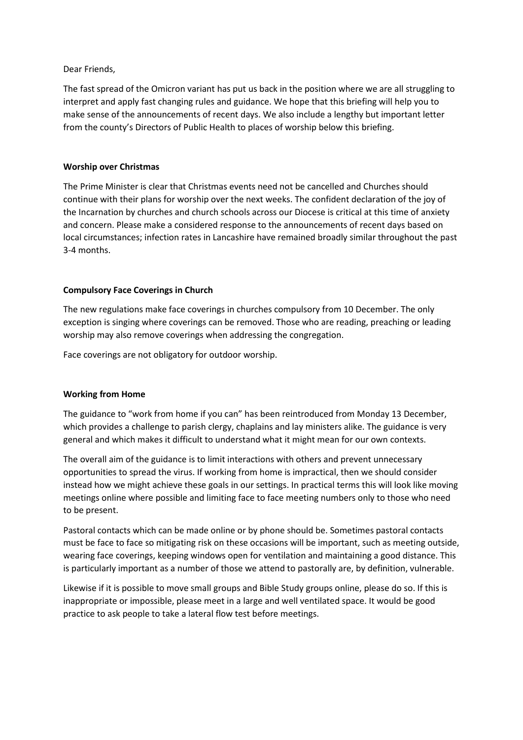#### Dear Friends,

The fast spread of the Omicron variant has put us back in the position where we are all struggling to interpret and apply fast changing rules and guidance. We hope that this briefing will help you to make sense of the announcements of recent days. We also include a lengthy but important letter from the county's Directors of Public Health to places of worship below this briefing.

## **Worship over Christmas**

The Prime Minister is clear that Christmas events need not be cancelled and Churches should continue with their plans for worship over the next weeks. The confident declaration of the joy of the Incarnation by churches and church schools across our Diocese is critical at this time of anxiety and concern. Please make a considered response to the announcements of recent days based on local circumstances; infection rates in Lancashire have remained broadly similar throughout the past 3-4 months.

# **Compulsory Face Coverings in Church**

The new regulations make face coverings in churches compulsory from 10 December. The only exception is singing where coverings can be removed. Those who are reading, preaching or leading worship may also remove coverings when addressing the congregation.

Face coverings are not obligatory for outdoor worship.

#### **Working from Home**

The guidance to "work from home if you can" has been reintroduced from Monday 13 December, which provides a challenge to parish clergy, chaplains and lay ministers alike. The guidance is very general and which makes it difficult to understand what it might mean for our own contexts.

The overall aim of the guidance is to limit interactions with others and prevent unnecessary opportunities to spread the virus. If working from home is impractical, then we should consider instead how we might achieve these goals in our settings. In practical terms this will look like moving meetings online where possible and limiting face to face meeting numbers only to those who need to be present.

Pastoral contacts which can be made online or by phone should be. Sometimes pastoral contacts must be face to face so mitigating risk on these occasions will be important, such as meeting outside, wearing face coverings, keeping windows open for ventilation and maintaining a good distance. This is particularly important as a number of those we attend to pastorally are, by definition, vulnerable.

Likewise if it is possible to move small groups and Bible Study groups online, please do so. If this is inappropriate or impossible, please meet in a large and well ventilated space. It would be good practice to ask people to take a lateral flow test before meetings.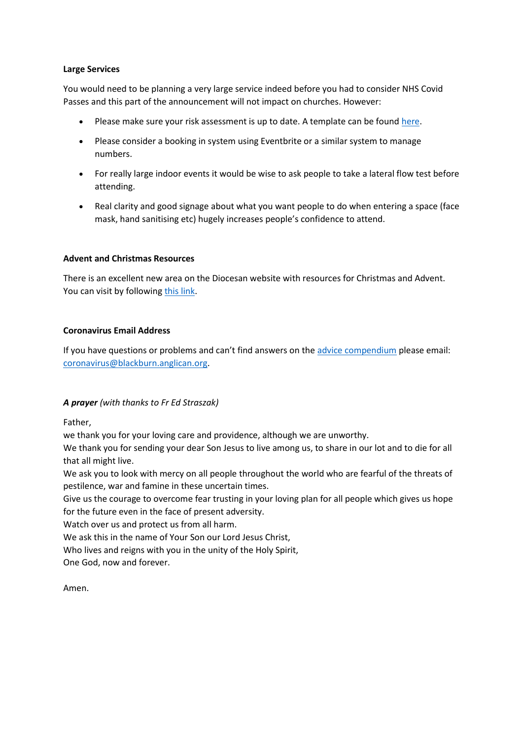#### **Large Services**

You would need to be planning a very large service indeed before you had to consider NHS Covid Passes and this part of the announcement will not impact on churches. However:

- Please make sure your risk assessment is up to date. A template can be found [here.](https://view.officeapps.live.com/op/view.aspx?src=https%3A%2F%2Fwww.churchofengland.org%2Fsites%2Fdefault%2Ffiles%2F2021-07%2FCOVID%252019%2520Parish%2520Risk%2520Assessment%2520Template%2520-%2520indoors%2520v10.docx&wdOrigin=BROWSELINK)
- Please consider a booking in system using Eventbrite or a similar system to manage numbers.
- For really large indoor events it would be wise to ask people to take a lateral flow test before attending.
- Real clarity and good signage about what you want people to do when entering a space (face mask, hand sanitising etc) hugely increases people's confidence to attend.

## **Advent and Christmas Resources**

There is an excellent new area on the Diocesan website with resources for Christmas and Advent. You can visit by following [this link.](https://www.blackburn.anglican.org/christmas-2021)

## **Coronavirus Email Address**

If you have questions or problems and can't find answers on the [advice compendium](https://www.blackburn.anglican.org/coronavirus-compendium-of-advice-and-res) please email: [coronavirus@blackburn.anglican.org.](mailto:coronavirus@blackburn.anglican.org)

# *A prayer (with thanks to Fr Ed Straszak)*

Father,

we thank you for your loving care and providence, although we are unworthy.

We thank you for sending your dear Son Jesus to live among us, to share in our lot and to die for all that all might live.

We ask you to look with mercy on all people throughout the world who are fearful of the threats of pestilence, war and famine in these uncertain times.

Give us the courage to overcome fear trusting in your loving plan for all people which gives us hope for the future even in the face of present adversity.

Watch over us and protect us from all harm.

We ask this in the name of Your Son our Lord Jesus Christ,

Who lives and reigns with you in the unity of the Holy Spirit,

One God, now and forever.

Amen.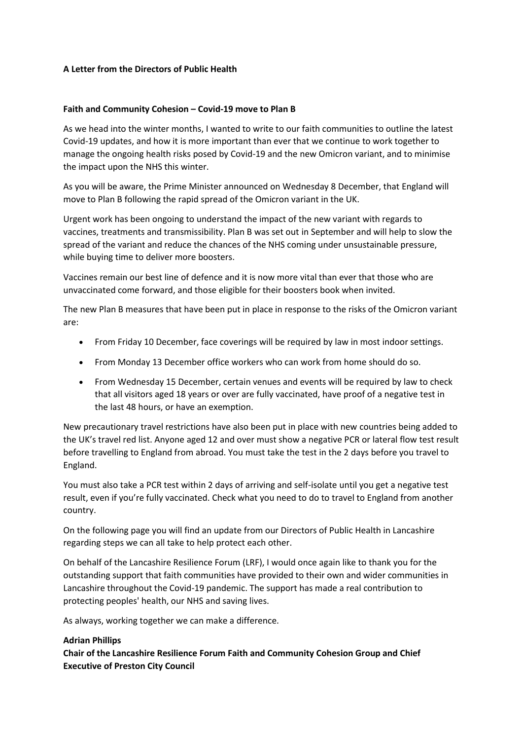#### **A Letter from the Directors of Public Health**

#### **Faith and Community Cohesion – Covid-19 move to Plan B**

As we head into the winter months, I wanted to write to our faith communities to outline the latest Covid-19 updates, and how it is more important than ever that we continue to work together to manage the ongoing health risks posed by Covid-19 and the new Omicron variant, and to minimise the impact upon the NHS this winter.

As you will be aware, the Prime Minister announced on Wednesday 8 December, that England will move to Plan B following the rapid spread of the Omicron variant in the UK.

Urgent work has been ongoing to understand the impact of the new variant with regards to vaccines, treatments and transmissibility. Plan B was set out in September and will help to slow the spread of the variant and reduce the chances of the NHS coming under unsustainable pressure, while buying time to deliver more boosters.

Vaccines remain our best line of defence and it is now more vital than ever that those who are unvaccinated come forward, and those eligible for their boosters book when invited.

The new Plan B measures that have been put in place in response to the risks of the Omicron variant are:

- From Friday 10 December, face coverings will be required by law in most indoor settings.
- From Monday 13 December office workers who can work from home should do so.
- From Wednesday 15 December, certain venues and events will be required by law to check that all visitors aged 18 years or over are fully vaccinated, have proof of a negative test in the last 48 hours, or have an exemption.

New precautionary travel restrictions have also been put in place with new countries being added to the UK's travel red list. Anyone aged 12 and over must show a negative PCR or lateral flow test result before travelling to England from abroad. You must take the test in the 2 days before you travel to England.

You must also take a PCR test within 2 days of arriving and self-isolate until you get a negative test result, even if you're fully vaccinated. Check what you need to do to travel to England from another country.

On the following page you will find an update from our Directors of Public Health in Lancashire regarding steps we can all take to help protect each other.

On behalf of the Lancashire Resilience Forum (LRF), I would once again like to thank you for the outstanding support that faith communities have provided to their own and wider communities in Lancashire throughout the Covid-19 pandemic. The support has made a real contribution to protecting peoples' health, our NHS and saving lives.

As always, working together we can make a difference.

#### **Adrian Phillips**

**Chair of the Lancashire Resilience Forum Faith and Community Cohesion Group and Chief Executive of Preston City Council**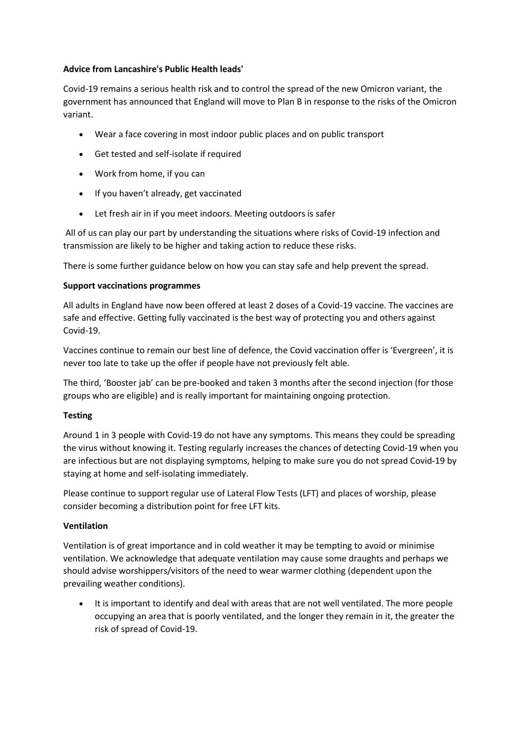## **Advice from Lancashire's Public Health leads'**

Covid-19 remains a serious health risk and to control the spread of the new Omicron variant, the government has announced that England will move to Plan B in response to the risks of the Omicron variant.

- Wear a face covering in most indoor public places and on public transport
- Get tested and self-isolate if required
- Work from home, if you can
- If you haven't already, get vaccinated
- Let fresh air in if you meet indoors. Meeting outdoors is safer

All of us can play our part by understanding the situations where risks of Covid-19 infection and transmission are likely to be higher and taking action to reduce these risks.

There is some further guidance below on how you can stay safe and help prevent the spread.

## **Support vaccinations programmes**

All adults in England have now been offered at least 2 doses of a Covid-19 vaccine. The vaccines are safe and effective. Getting fully vaccinated is the best way of protecting you and others against Covid-19.

Vaccines continue to remain our best line of defence, the Covid vaccination offer is 'Evergreen', it is never too late to take up the offer if people have not previously felt able.

The third, 'Booster jab' can be pre-booked and taken 3 months after the second injection (for those groups who are eligible) and is really important for maintaining ongoing protection.

# **Testing**

Around 1 in 3 people with Covid-19 do not have any symptoms. This means they could be spreading the virus without knowing it. Testing regularly increases the chances of detecting Covid-19 when you are infectious but are not displaying symptoms, helping to make sure you do not spread Covid-19 by staying at home and self-isolating immediately.

Please continue to support regular use of Lateral Flow Tests (LFT) and places of worship, please consider becoming a distribution point for free LFT kits.

#### **Ventilation**

Ventilation is of great importance and in cold weather it may be tempting to avoid or minimise ventilation. We acknowledge that adequate ventilation may cause some draughts and perhaps we should advise worshippers/visitors of the need to wear warmer clothing (dependent upon the prevailing weather conditions).

• It is important to identify and deal with areas that are not well ventilated. The more people occupying an area that is poorly ventilated, and the longer they remain in it, the greater the risk of spread of Covid-19.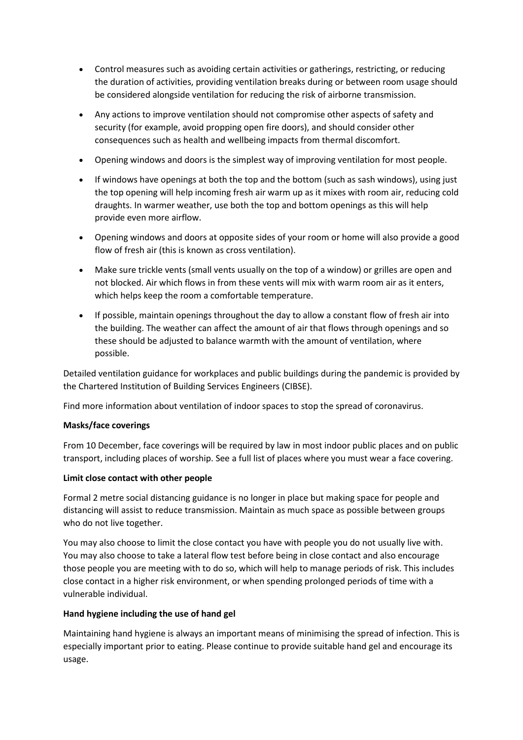- Control measures such as avoiding certain activities or gatherings, restricting, or reducing the duration of activities, providing ventilation breaks during or between room usage should be considered alongside ventilation for reducing the risk of airborne transmission.
- Any actions to improve ventilation should not compromise other aspects of safety and security (for example, avoid propping open fire doors), and should consider other consequences such as health and wellbeing impacts from thermal discomfort.
- Opening windows and doors is the simplest way of improving ventilation for most people.
- If windows have openings at both the top and the bottom (such as sash windows), using just the top opening will help incoming fresh air warm up as it mixes with room air, reducing cold draughts. In warmer weather, use both the top and bottom openings as this will help provide even more airflow.
- Opening windows and doors at opposite sides of your room or home will also provide a good flow of fresh air (this is known as cross ventilation).
- Make sure trickle vents (small vents usually on the top of a window) or grilles are open and not blocked. Air which flows in from these vents will mix with warm room air as it enters, which helps keep the room a comfortable temperature.
- If possible, maintain openings throughout the day to allow a constant flow of fresh air into the building. The weather can affect the amount of air that flows through openings and so these should be adjusted to balance warmth with the amount of ventilation, where possible.

Detailed ventilation guidance for workplaces and public buildings during the pandemic is provided by the Chartered Institution of Building Services Engineers (CIBSE).

Find more information about ventilation of indoor spaces to stop the spread of coronavirus.

# **Masks/face coverings**

From 10 December, face coverings will be required by law in most indoor public places and on public transport, including places of worship. See a full list of places where you must wear a face covering.

# **Limit close contact with other people**

Formal 2 metre social distancing guidance is no longer in place but making space for people and distancing will assist to reduce transmission. Maintain as much space as possible between groups who do not live together.

You may also choose to limit the close contact you have with people you do not usually live with. You may also choose to take a lateral flow test before being in close contact and also encourage those people you are meeting with to do so, which will help to manage periods of risk. This includes close contact in a higher risk environment, or when spending prolonged periods of time with a vulnerable individual.

# **Hand hygiene including the use of hand gel**

Maintaining hand hygiene is always an important means of minimising the spread of infection. This is especially important prior to eating. Please continue to provide suitable hand gel and encourage its usage.